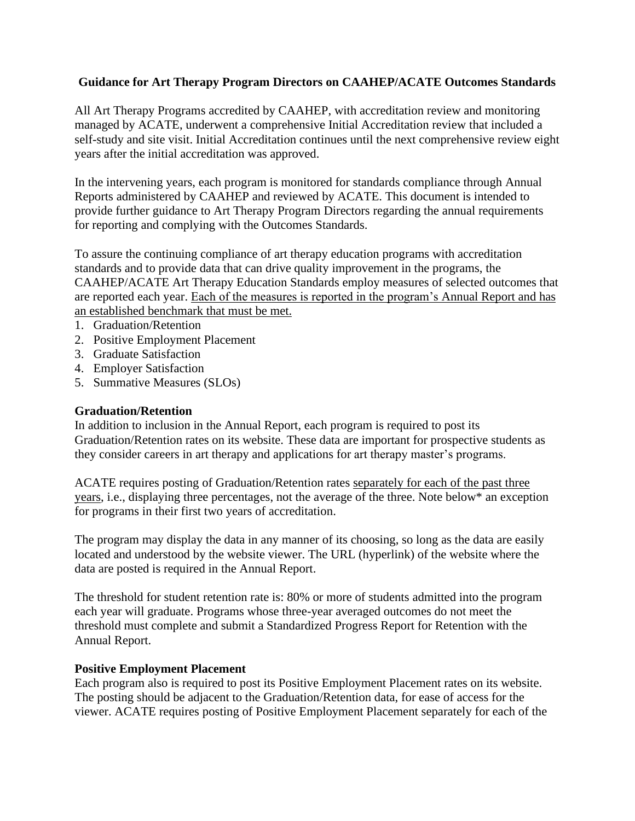## **Guidance for Art Therapy Program Directors on CAAHEP/ACATE Outcomes Standards**

All Art Therapy Programs accredited by CAAHEP, with accreditation review and monitoring managed by ACATE, underwent a comprehensive Initial Accreditation review that included a self-study and site visit. Initial Accreditation continues until the next comprehensive review eight years after the initial accreditation was approved.

In the intervening years, each program is monitored for standards compliance through Annual Reports administered by CAAHEP and reviewed by ACATE. This document is intended to provide further guidance to Art Therapy Program Directors regarding the annual requirements for reporting and complying with the Outcomes Standards.

To assure the continuing compliance of art therapy education programs with accreditation standards and to provide data that can drive quality improvement in the programs, the CAAHEP/ACATE Art Therapy Education Standards employ measures of selected outcomes that are reported each year. Each of the measures is reported in the program's Annual Report and has an established benchmark that must be met.

- 1. Graduation/Retention
- 2. Positive Employment Placement
- 3. Graduate Satisfaction
- 4. Employer Satisfaction
- 5. Summative Measures (SLOs)

#### **Graduation/Retention**

In addition to inclusion in the Annual Report, each program is required to post its Graduation/Retention rates on its website. These data are important for prospective students as they consider careers in art therapy and applications for art therapy master's programs.

ACATE requires posting of Graduation/Retention rates separately for each of the past three years, i.e., displaying three percentages, not the average of the three. Note below\* an exception for programs in their first two years of accreditation.

The program may display the data in any manner of its choosing, so long as the data are easily located and understood by the website viewer. The URL (hyperlink) of the website where the data are posted is required in the Annual Report.

The threshold for student retention rate is: 80% or more of students admitted into the program each year will graduate. Programs whose three-year averaged outcomes do not meet the threshold must complete and submit a Standardized Progress Report for Retention with the Annual Report.

#### **Positive Employment Placement**

Each program also is required to post its Positive Employment Placement rates on its website. The posting should be adjacent to the Graduation/Retention data, for ease of access for the viewer. ACATE requires posting of Positive Employment Placement separately for each of the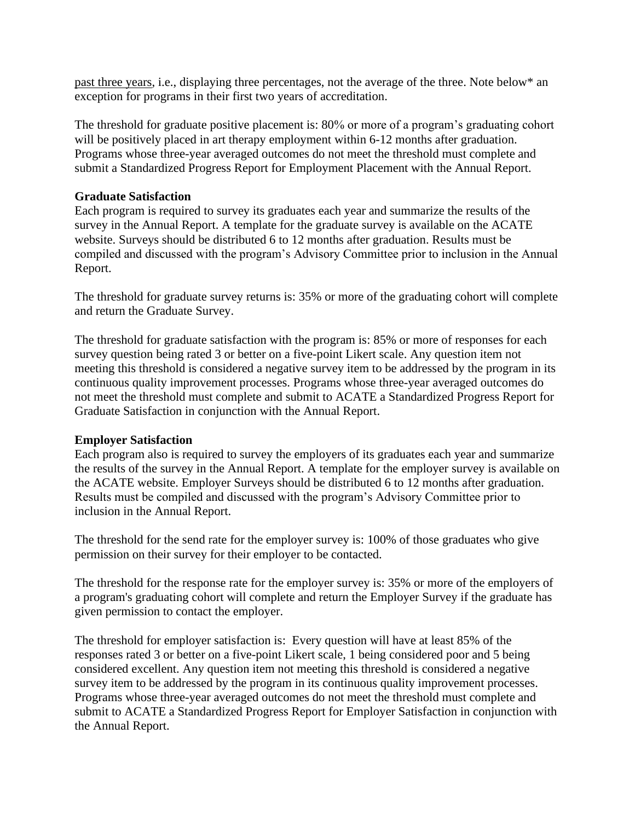past three years, i.e., displaying three percentages, not the average of the three. Note below\* an exception for programs in their first two years of accreditation.

The threshold for graduate positive placement is: 80% or more of a program's graduating cohort will be positively placed in art therapy employment within 6-12 months after graduation. Programs whose three-year averaged outcomes do not meet the threshold must complete and submit a Standardized Progress Report for Employment Placement with the Annual Report.

## **Graduate Satisfaction**

Each program is required to survey its graduates each year and summarize the results of the survey in the Annual Report. A template for the graduate survey is available on the ACATE website. Surveys should be distributed 6 to 12 months after graduation. Results must be compiled and discussed with the program's Advisory Committee prior to inclusion in the Annual Report.

The threshold for graduate survey returns is: 35% or more of the graduating cohort will complete and return the Graduate Survey.

The threshold for graduate satisfaction with the program is: 85% or more of responses for each survey question being rated 3 or better on a five-point Likert scale. Any question item not meeting this threshold is considered a negative survey item to be addressed by the program in its continuous quality improvement processes. Programs whose three-year averaged outcomes do not meet the threshold must complete and submit to ACATE a Standardized Progress Report for Graduate Satisfaction in conjunction with the Annual Report.

# **Employer Satisfaction**

Each program also is required to survey the employers of its graduates each year and summarize the results of the survey in the Annual Report. A template for the employer survey is available on the ACATE website. Employer Surveys should be distributed 6 to 12 months after graduation. Results must be compiled and discussed with the program's Advisory Committee prior to inclusion in the Annual Report.

The threshold for the send rate for the employer survey is: 100% of those graduates who give permission on their survey for their employer to be contacted.

The threshold for the response rate for the employer survey is: 35% or more of the employers of a program's graduating cohort will complete and return the Employer Survey if the graduate has given permission to contact the employer.

The threshold for employer satisfaction is: Every question will have at least 85% of the responses rated 3 or better on a five-point Likert scale, 1 being considered poor and 5 being considered excellent. Any question item not meeting this threshold is considered a negative survey item to be addressed by the program in its continuous quality improvement processes. Programs whose three-year averaged outcomes do not meet the threshold must complete and submit to ACATE a Standardized Progress Report for Employer Satisfaction in conjunction with the Annual Report.